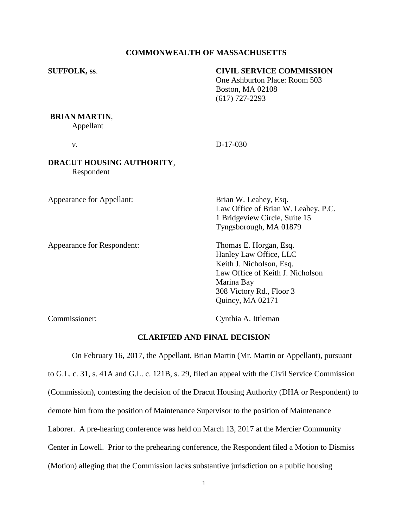# **COMMONWEALTH OF MASSACHUSETTS**

# **SUFFOLK, ss**. **CIVIL SERVICE COMMISSION**

One Ashburton Place: Room 503 Boston, MA 02108 (617) 727-2293

#### **BRIAN MARTIN**,

Appellant

*v*. D-17-030

# **DRACUT HOUSING AUTHORITY**, Respondent

Appearance for Appellant: Brian W. Leahey, Esq.

Appearance for Respondent: Thomas E. Horgan, Esq.

Law Office of Brian W. Leahey, P.C. 1 Bridgeview Circle, Suite 15 Tyngsborough, MA 01879

Hanley Law Office, LLC Keith J. Nicholson, Esq. Law Office of Keith J. Nicholson Marina Bay 308 Victory Rd., Floor 3 Quincy, MA 02171

Commissioner: Cynthia A. Ittleman

# **CLARIFIED AND FINAL DECISION**

On February 16, 2017, the Appellant, Brian Martin (Mr. Martin or Appellant), pursuant to G.L. c. 31, s. 41A and G.L. c. 121B, s. 29, filed an appeal with the Civil Service Commission (Commission), contesting the decision of the Dracut Housing Authority (DHA or Respondent) to demote him from the position of Maintenance Supervisor to the position of Maintenance Laborer. A pre-hearing conference was held on March 13, 2017 at the Mercier Community Center in Lowell. Prior to the prehearing conference, the Respondent filed a Motion to Dismiss (Motion) alleging that the Commission lacks substantive jurisdiction on a public housing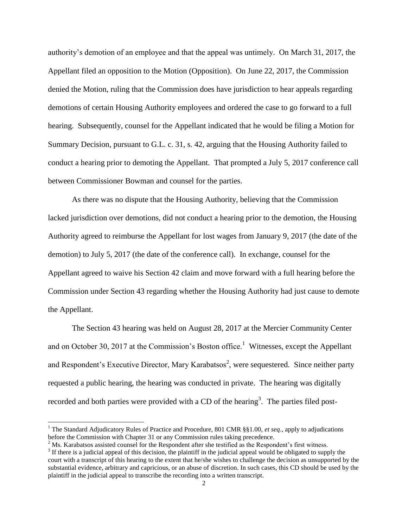authority's demotion of an employee and that the appeal was untimely. On March 31, 2017, the Appellant filed an opposition to the Motion (Opposition). On June 22, 2017, the Commission denied the Motion, ruling that the Commission does have jurisdiction to hear appeals regarding demotions of certain Housing Authority employees and ordered the case to go forward to a full hearing. Subsequently, counsel for the Appellant indicated that he would be filing a Motion for Summary Decision, pursuant to G.L. c. 31, s. 42, arguing that the Housing Authority failed to conduct a hearing prior to demoting the Appellant. That prompted a July 5, 2017 conference call between Commissioner Bowman and counsel for the parties.

As there was no dispute that the Housing Authority, believing that the Commission lacked jurisdiction over demotions, did not conduct a hearing prior to the demotion, the Housing Authority agreed to reimburse the Appellant for lost wages from January 9, 2017 (the date of the demotion) to July 5, 2017 (the date of the conference call). In exchange, counsel for the Appellant agreed to waive his Section 42 claim and move forward with a full hearing before the Commission under Section 43 regarding whether the Housing Authority had just cause to demote the Appellant.

The Section 43 hearing was held on August 28, 2017 at the Mercier Community Center and on October 30, 2017 at the Commission's Boston office.<sup>1</sup> Witnesses, except the Appellant and Respondent's Executive Director, Mary Karabatsos<sup>2</sup>, were sequestered. Since neither party requested a public hearing, the hearing was conducted in private. The hearing was digitally recorded and both parties were provided with a CD of the hearing<sup>3</sup>. The parties filed post-

 $\overline{\phantom{a}}$ 

<sup>1</sup> The Standard Adjudicatory Rules of Practice and Procedure, 801 CMR §§1.00, *et seq*., apply to adjudications before the Commission with Chapter 31 or any Commission rules taking precedence.

 $<sup>2</sup>$  Ms. Karabatsos assisted counsel for the Respondent after she testified as the Respondent's first witness.</sup>

 $3$  If there is a judicial appeal of this decision, the plaintiff in the judicial appeal would be obligated to supply the court with a transcript of this hearing to the extent that he/she wishes to challenge the decision as unsupported by the substantial evidence, arbitrary and capricious, or an abuse of discretion. In such cases, this CD should be used by the plaintiff in the judicial appeal to transcribe the recording into a written transcript.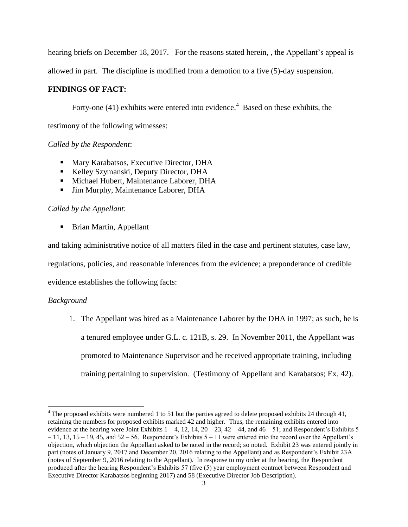hearing briefs on December 18, 2017. For the reasons stated herein, the Appellant's appeal is

allowed in part. The discipline is modified from a demotion to a five (5)-day suspension.

# **FINDINGS OF FACT:**

Forty-one (41) exhibits were entered into evidence.<sup>4</sup> Based on these exhibits, the

testimony of the following witnesses:

# *Called by the Respondent*:

- **Mary Karabatsos, Executive Director, DHA**
- Kelley Szymanski, Deputy Director, DHA
- **Michael Hubert, Maintenance Laborer, DHA**
- Jim Murphy, Maintenance Laborer, DHA

# *Called by the Appellant*:

■ Brian Martin, Appellant

and taking administrative notice of all matters filed in the case and pertinent statutes, case law, regulations, policies, and reasonable inferences from the evidence; a preponderance of credible evidence establishes the following facts:

# *Background*

 $\overline{\phantom{a}}$ 

1. The Appellant was hired as a Maintenance Laborer by the DHA in 1997; as such, he is a tenured employee under G.L. c. 121B, s. 29. In November 2011, the Appellant was promoted to Maintenance Supervisor and he received appropriate training, including training pertaining to supervision. (Testimony of Appellant and Karabatsos; Ex. 42).

 $4$  The proposed exhibits were numbered 1 to 51 but the parties agreed to delete proposed exhibits 24 through 41, retaining the numbers for proposed exhibits marked 42 and higher. Thus, the remaining exhibits entered into evidence at the hearing were Joint Exhibits  $1 - 4$ , 12, 14,  $20 - 23$ ,  $42 - 44$ , and  $46 - 51$ ; and Respondent's Exhibits 5  $-11$ , 13, 15 – 19, 45, and 52 – 56. Respondent's Exhibits 5 – 11 were entered into the record over the Appellant's objection, which objection the Appellant asked to be noted in the record; so noted. Exhibit 23 was entered jointly in part (notes of January 9, 2017 and December 20, 2016 relating to the Appellant) and as Respondent's Exhibit 23A (notes of September 9, 2016 relating to the Appellant). In response to my order at the hearing, the Respondent produced after the hearing Respondent's Exhibits 57 (five (5) year employment contract between Respondent and Executive Director Karabatsos beginning 2017) and 58 (Executive Director Job Description).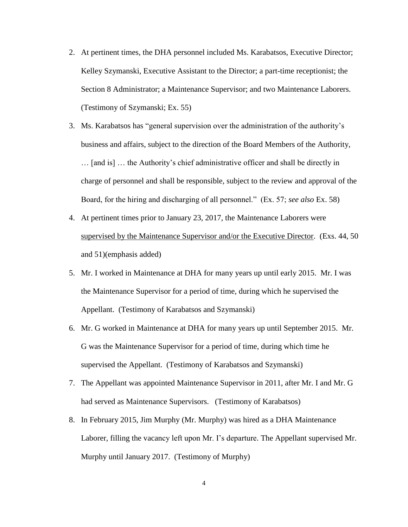- 2. At pertinent times, the DHA personnel included Ms. Karabatsos, Executive Director; Kelley Szymanski, Executive Assistant to the Director; a part-time receptionist; the Section 8 Administrator; a Maintenance Supervisor; and two Maintenance Laborers. (Testimony of Szymanski; Ex. 55)
- 3. Ms. Karabatsos has "general supervision over the administration of the authority's business and affairs, subject to the direction of the Board Members of the Authority, … [and is] … the Authority's chief administrative officer and shall be directly in charge of personnel and shall be responsible, subject to the review and approval of the Board, for the hiring and discharging of all personnel." (Ex. 57; *see also* Ex. 58)
- 4. At pertinent times prior to January 23, 2017, the Maintenance Laborers were supervised by the Maintenance Supervisor and/or the Executive Director. (Exs. 44, 50 and 51)(emphasis added)
- 5. Mr. I worked in Maintenance at DHA for many years up until early 2015. Mr. I was the Maintenance Supervisor for a period of time, during which he supervised the Appellant. (Testimony of Karabatsos and Szymanski)
- 6. Mr. G worked in Maintenance at DHA for many years up until September 2015. Mr. G was the Maintenance Supervisor for a period of time, during which time he supervised the Appellant. (Testimony of Karabatsos and Szymanski)
- 7. The Appellant was appointed Maintenance Supervisor in 2011, after Mr. I and Mr. G had served as Maintenance Supervisors. (Testimony of Karabatsos)
- 8. In February 2015, Jim Murphy (Mr. Murphy) was hired as a DHA Maintenance Laborer, filling the vacancy left upon Mr. I's departure. The Appellant supervised Mr. Murphy until January 2017. (Testimony of Murphy)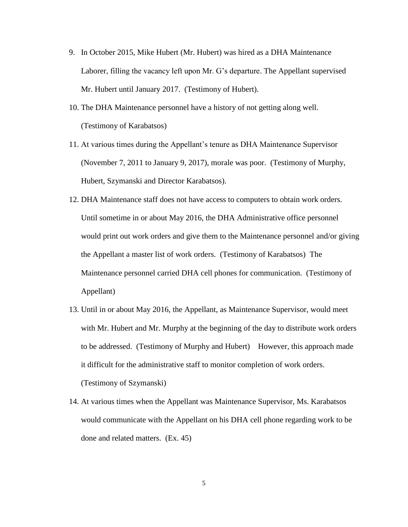- 9. In October 2015, Mike Hubert (Mr. Hubert) was hired as a DHA Maintenance Laborer, filling the vacancy left upon Mr. G's departure. The Appellant supervised Mr. Hubert until January 2017. (Testimony of Hubert).
- 10. The DHA Maintenance personnel have a history of not getting along well. (Testimony of Karabatsos)
- 11. At various times during the Appellant's tenure as DHA Maintenance Supervisor (November 7, 2011 to January 9, 2017), morale was poor. (Testimony of Murphy, Hubert, Szymanski and Director Karabatsos).
- 12. DHA Maintenance staff does not have access to computers to obtain work orders. Until sometime in or about May 2016, the DHA Administrative office personnel would print out work orders and give them to the Maintenance personnel and/or giving the Appellant a master list of work orders. (Testimony of Karabatsos) The Maintenance personnel carried DHA cell phones for communication. (Testimony of Appellant)
- 13. Until in or about May 2016, the Appellant, as Maintenance Supervisor, would meet with Mr. Hubert and Mr. Murphy at the beginning of the day to distribute work orders to be addressed. (Testimony of Murphy and Hubert) However, this approach made it difficult for the administrative staff to monitor completion of work orders. (Testimony of Szymanski)
- 14. At various times when the Appellant was Maintenance Supervisor, Ms. Karabatsos would communicate with the Appellant on his DHA cell phone regarding work to be done and related matters. (Ex. 45)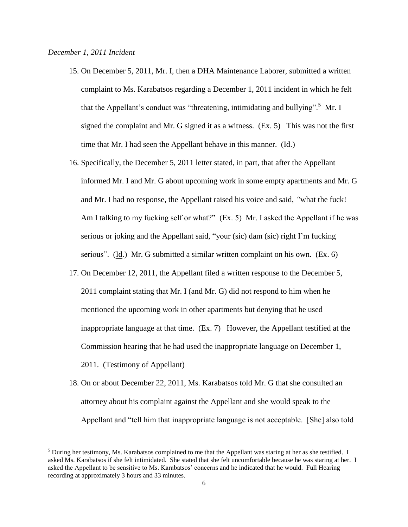$\overline{\phantom{a}}$ 

- 15. On December 5, 2011, Mr. I, then a DHA Maintenance Laborer, submitted a written complaint to Ms. Karabatsos regarding a December 1, 2011 incident in which he felt that the Appellant's conduct was "threatening, intimidating and bullying".<sup>5</sup> Mr. I signed the complaint and Mr. G signed it as a witness. (Ex. 5) This was not the first time that Mr. I had seen the Appellant behave in this manner. (Id.)
- 16. Specifically, the December 5, 2011 letter stated, in part, that after the Appellant informed Mr. I and Mr. G about upcoming work in some empty apartments and Mr. G and Mr. I had no response, the Appellant raised his voice and said, *"*what the fuck! Am I talking to my fucking self or what?" (Ex. 5) Mr. I asked the Appellant if he was serious or joking and the Appellant said, "your (sic) dam (sic) right I'm fucking serious". (Id.) Mr. G submitted a similar written complaint on his own. (Ex. 6)
- 17. On December 12, 2011, the Appellant filed a written response to the December 5, 2011 complaint stating that Mr. I (and Mr. G) did not respond to him when he mentioned the upcoming work in other apartments but denying that he used inappropriate language at that time. (Ex. 7) However, the Appellant testified at the Commission hearing that he had used the inappropriate language on December 1, 2011. (Testimony of Appellant)
- 18. On or about December 22, 2011, Ms. Karabatsos told Mr. G that she consulted an attorney about his complaint against the Appellant and she would speak to the Appellant and "tell him that inappropriate language is not acceptable. [She] also told

 $<sup>5</sup>$  During her testimony, Ms. Karabatsos complained to me that the Appellant was staring at her as she testified. I</sup> asked Ms. Karabatsos if she felt intimidated. She stated that she felt uncomfortable because he was staring at her. I asked the Appellant to be sensitive to Ms. Karabatsos' concerns and he indicated that he would. Full Hearing recording at approximately 3 hours and 33 minutes.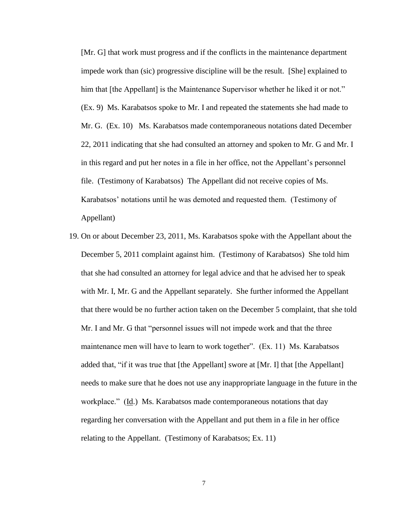[Mr. G] that work must progress and if the conflicts in the maintenance department impede work than (sic) progressive discipline will be the result. [She] explained to him that [the Appellant] is the Maintenance Supervisor whether he liked it or not." (Ex. 9) Ms. Karabatsos spoke to Mr. I and repeated the statements she had made to Mr. G. (Ex. 10) Ms. Karabatsos made contemporaneous notations dated December 22, 2011 indicating that she had consulted an attorney and spoken to Mr. G and Mr. I in this regard and put her notes in a file in her office, not the Appellant's personnel file. (Testimony of Karabatsos) The Appellant did not receive copies of Ms. Karabatsos' notations until he was demoted and requested them. (Testimony of Appellant)

19. On or about December 23, 2011, Ms. Karabatsos spoke with the Appellant about the December 5, 2011 complaint against him. (Testimony of Karabatsos) She told him that she had consulted an attorney for legal advice and that he advised her to speak with Mr. I, Mr. G and the Appellant separately. She further informed the Appellant that there would be no further action taken on the December 5 complaint, that she told Mr. I and Mr. G that "personnel issues will not impede work and that the three maintenance men will have to learn to work together". (Ex. 11) Ms. Karabatsos added that, "if it was true that [the Appellant] swore at [Mr. I] that [the Appellant] needs to make sure that he does not use any inappropriate language in the future in the workplace." (Id.) Ms. Karabatsos made contemporaneous notations that day regarding her conversation with the Appellant and put them in a file in her office relating to the Appellant. (Testimony of Karabatsos; Ex. 11)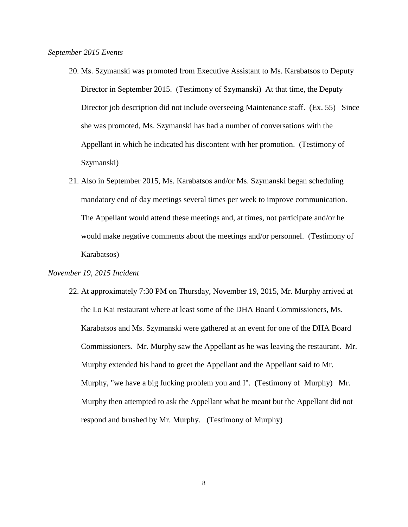- 20. Ms. Szymanski was promoted from Executive Assistant to Ms. Karabatsos to Deputy Director in September 2015. (Testimony of Szymanski) At that time, the Deputy Director job description did not include overseeing Maintenance staff. (Ex. 55) Since she was promoted, Ms. Szymanski has had a number of conversations with the Appellant in which he indicated his discontent with her promotion. (Testimony of Szymanski)
- 21. Also in September 2015, Ms. Karabatsos and/or Ms. Szymanski began scheduling mandatory end of day meetings several times per week to improve communication. The Appellant would attend these meetings and, at times, not participate and/or he would make negative comments about the meetings and/or personnel. (Testimony of Karabatsos)

#### *November 19, 2015 Incident*

22. At approximately 7:30 PM on Thursday, November 19, 2015, Mr. Murphy arrived at the Lo Kai restaurant where at least some of the DHA Board Commissioners, Ms. Karabatsos and Ms. Szymanski were gathered at an event for one of the DHA Board Commissioners. Mr. Murphy saw the Appellant as he was leaving the restaurant. Mr. Murphy extended his hand to greet the Appellant and the Appellant said to Mr. Murphy, "we have a big fucking problem you and I". (Testimony of Murphy) Mr. Murphy then attempted to ask the Appellant what he meant but the Appellant did not respond and brushed by Mr. Murphy. (Testimony of Murphy)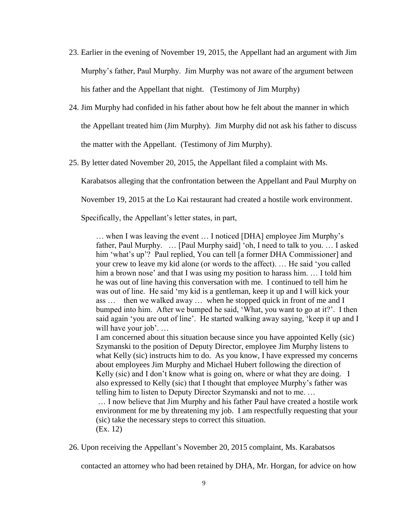- 23. Earlier in the evening of November 19, 2015, the Appellant had an argument with Jim Murphy's father, Paul Murphy. Jim Murphy was not aware of the argument between his father and the Appellant that night. (Testimony of Jim Murphy)
- 24. Jim Murphy had confided in his father about how he felt about the manner in which the Appellant treated him (Jim Murphy). Jim Murphy did not ask his father to discuss the matter with the Appellant. (Testimony of Jim Murphy).
- 25. By letter dated November 20, 2015, the Appellant filed a complaint with Ms.

Karabatsos alleging that the confrontation between the Appellant and Paul Murphy on

November 19, 2015 at the Lo Kai restaurant had created a hostile work environment.

Specifically, the Appellant's letter states, in part,

… when I was leaving the event … I noticed [DHA] employee Jim Murphy's father, Paul Murphy. … [Paul Murphy said] 'oh, I need to talk to you. … I asked him 'what's up'? Paul replied, You can tell [a former DHA Commissioner] and your crew to leave my kid alone (or words to the affect). … He said 'you called him a brown nose' and that I was using my position to harass him. ... I told him he was out of line having this conversation with me. I continued to tell him he was out of line. He said 'my kid is a gentleman, keep it up and I will kick your ass … then we walked away … when he stopped quick in front of me and I bumped into him. After we bumped he said, 'What, you want to go at it?'. I then said again 'you are out of line'. He started walking away saying, 'keep it up and I will have your job'...

I am concerned about this situation because since you have appointed Kelly (sic) Szymanski to the position of Deputy Director, employee Jim Murphy listens to what Kelly (sic) instructs him to do. As you know, I have expressed my concerns about employees Jim Murphy and Michael Hubert following the direction of Kelly (sic) and I don't know what is going on, where or what they are doing. I also expressed to Kelly (sic) that I thought that employee Murphy's father was telling him to listen to Deputy Director Szymanski and not to me. …

… I now believe that Jim Murphy and his father Paul have created a hostile work environment for me by threatening my job. I am respectfully requesting that your (sic) take the necessary steps to correct this situation. (Ex. 12)

26. Upon receiving the Appellant's November 20, 2015 complaint, Ms. Karabatsos

contacted an attorney who had been retained by DHA, Mr. Horgan, for advice on how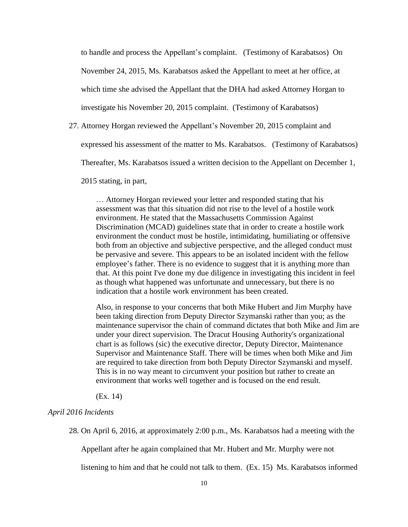to handle and process the Appellant's complaint. (Testimony of Karabatsos) On November 24, 2015, Ms. Karabatsos asked the Appellant to meet at her office, at which time she advised the Appellant that the DHA had asked Attorney Horgan to investigate his November 20, 2015 complaint. (Testimony of Karabatsos)

27. Attorney Horgan reviewed the Appellant's November 20, 2015 complaint and

expressed his assessment of the matter to Ms. Karabatsos. (Testimony of Karabatsos)

Thereafter, Ms. Karabatsos issued a written decision to the Appellant on December 1,

2015 stating, in part,

… Attorney Horgan reviewed your letter and responded stating that his assessment was that this situation did not rise to the level of a hostile work environment. He stated that the Massachusetts Commission Against Discrimination (MCAD) guidelines state that in order to create a hostile work environment the conduct must be hostile, intimidating, humiliating or offensive both from an objective and subjective perspective, and the alleged conduct must be pervasive and severe. This appears to be an isolated incident with the fellow employee's father. There is no evidence to suggest that it is anything more than that. At this point I've done my due diligence in investigating this incident in feel as though what happened was unfortunate and unnecessary, but there is no indication that a hostile work environment has been created.

Also, in response to your concerns that both Mike Hubert and Jim Murphy have been taking direction from Deputy Director Szymanski rather than you; as the maintenance supervisor the chain of command dictates that both Mike and Jim are under your direct supervision. The Dracut Housing Authority's organizational chart is as follows (sic) the executive director, Deputy Director, Maintenance Supervisor and Maintenance Staff. There will be times when both Mike and Jim are required to take direction from both Deputy Director Szymanski and myself. This is in no way meant to circumvent your position but rather to create an environment that works well together and is focused on the end result.

(Ex. 14)

## *April 2016 Incidents*

28. On April 6, 2016, at approximately 2:00 p.m., Ms. Karabatsos had a meeting with the

Appellant after he again complained that Mr. Hubert and Mr. Murphy were not

listening to him and that he could not talk to them. (Ex. 15) Ms. Karabatsos informed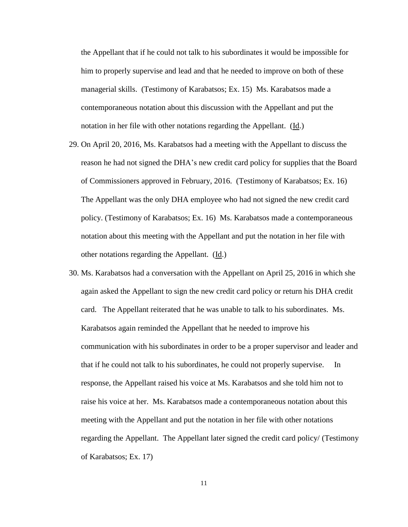the Appellant that if he could not talk to his subordinates it would be impossible for him to properly supervise and lead and that he needed to improve on both of these managerial skills. (Testimony of Karabatsos; Ex. 15) Ms. Karabatsos made a contemporaneous notation about this discussion with the Appellant and put the notation in her file with other notations regarding the Appellant. (Id.)

- 29. On April 20, 2016, Ms. Karabatsos had a meeting with the Appellant to discuss the reason he had not signed the DHA's new credit card policy for supplies that the Board of Commissioners approved in February, 2016. (Testimony of Karabatsos; Ex. 16) The Appellant was the only DHA employee who had not signed the new credit card policy. (Testimony of Karabatsos; Ex. 16) Ms. Karabatsos made a contemporaneous notation about this meeting with the Appellant and put the notation in her file with other notations regarding the Appellant. (Id.)
- 30. Ms. Karabatsos had a conversation with the Appellant on April 25, 2016 in which she again asked the Appellant to sign the new credit card policy or return his DHA credit card. The Appellant reiterated that he was unable to talk to his subordinates. Ms. Karabatsos again reminded the Appellant that he needed to improve his communication with his subordinates in order to be a proper supervisor and leader and that if he could not talk to his subordinates, he could not properly supervise. In response, the Appellant raised his voice at Ms. Karabatsos and she told him not to raise his voice at her. Ms. Karabatsos made a contemporaneous notation about this meeting with the Appellant and put the notation in her file with other notations regarding the Appellant. The Appellant later signed the credit card policy/ (Testimony of Karabatsos; Ex. 17)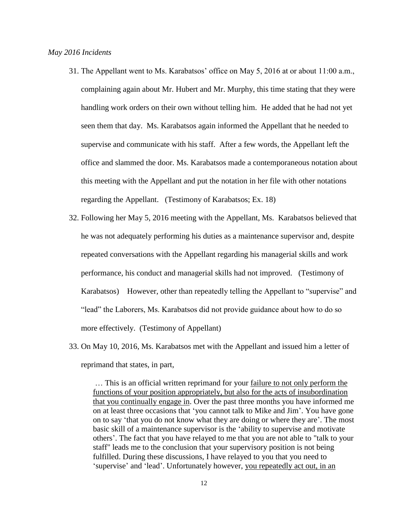- 31. The Appellant went to Ms. Karabatsos' office on May 5, 2016 at or about 11:00 a.m., complaining again about Mr. Hubert and Mr. Murphy, this time stating that they were handling work orders on their own without telling him. He added that he had not yet seen them that day. Ms. Karabatsos again informed the Appellant that he needed to supervise and communicate with his staff. After a few words, the Appellant left the office and slammed the door. Ms. Karabatsos made a contemporaneous notation about this meeting with the Appellant and put the notation in her file with other notations regarding the Appellant. (Testimony of Karabatsos; Ex. 18)
- 32. Following her May 5, 2016 meeting with the Appellant, Ms. Karabatsos believed that he was not adequately performing his duties as a maintenance supervisor and, despite repeated conversations with the Appellant regarding his managerial skills and work performance, his conduct and managerial skills had not improved. (Testimony of Karabatsos) However, other than repeatedly telling the Appellant to "supervise" and "lead" the Laborers, Ms. Karabatsos did not provide guidance about how to do so more effectively. (Testimony of Appellant)
- 33. On May 10, 2016, Ms. Karabatsos met with the Appellant and issued him a letter of reprimand that states, in part,

… This is an official written reprimand for your failure to not only perform the functions of your position appropriately, but also for the acts of insubordination that you continually engage in. Over the past three months you have informed me on at least three occasions that 'you cannot talk to Mike and Jim'. You have gone on to say 'that you do not know what they are doing or where they are'. The most basic skill of a maintenance supervisor is the 'ability to supervise and motivate others'. The fact that you have relayed to me that you are not able to "talk to your staff" leads me to the conclusion that your supervisory position is not being fulfilled. During these discussions, I have relayed to you that you need to 'supervise' and 'lead'. Unfortunately however, you repeatedly act out, in an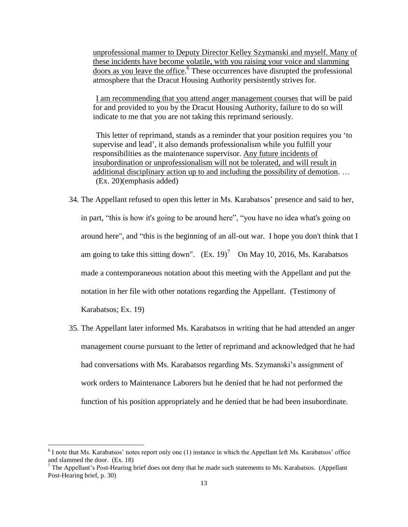unprofessional manner to Deputy Director Kelley Szymanski and myself. Many of these incidents have become volatile, with you raising your voice and slamming doors as you leave the office. 6 These occurrences have disrupted the professional atmosphere that the Dracut Housing Authority persistently strives for.

I am recommending that you attend anger management courses that will be paid for and provided to you by the Dracut Housing Authority, failure to do so will indicate to me that you are not taking this reprimand seriously.

This letter of reprimand, stands as a reminder that your position requires you 'to supervise and lead', it also demands professionalism while you fulfill your responsibilities as the maintenance supervisor. Any future incidents of insubordination or unprofessionalism will not be tolerated, and will result in additional disciplinary action up to and including the possibility of demotion. … (Ex. 20)(emphasis added)

- 34. The Appellant refused to open this letter in Ms. Karabatsos' presence and said to her, in part, "this is how it's going to be around here", "you have no idea what's going on around here", and "this is the beginning of an all-out war. I hope you don't think that I am going to take this sitting down".  $(Ex. 19)^7$  On May 10, 2016, Ms. Karabatsos made a contemporaneous notation about this meeting with the Appellant and put the notation in her file with other notations regarding the Appellant. (Testimony of Karabatsos; Ex. 19)
- 35. The Appellant later informed Ms. Karabatsos in writing that he had attended an anger management course pursuant to the letter of reprimand and acknowledged that he had had conversations with Ms. Karabatsos regarding Ms. Szymanski's assignment of work orders to Maintenance Laborers but he denied that he had not performed the function of his position appropriately and he denied that he had been insubordinate.

<sup>&</sup>lt;sup>6</sup> I note that Ms. Karabatsos' notes report only one (1) instance in which the Appellant left Ms. Karabatsos' office and slammed the door. (Ex. 18)

 $7$  The Appellant's Post-Hearing brief does not deny that he made such statements to Ms. Karabatsos. (Appellant Post-Hearing brief, p. 30)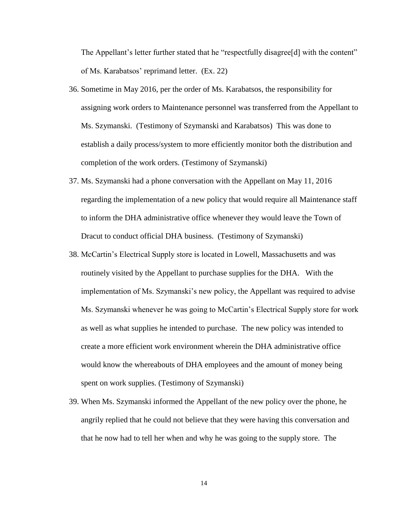The Appellant's letter further stated that he "respectfully disagree<sup>[d]</sup> with the content" of Ms. Karabatsos' reprimand letter. (Ex. 22)

- 36. Sometime in May 2016, per the order of Ms. Karabatsos, the responsibility for assigning work orders to Maintenance personnel was transferred from the Appellant to Ms. Szymanski. (Testimony of Szymanski and Karabatsos) This was done to establish a daily process/system to more efficiently monitor both the distribution and completion of the work orders. (Testimony of Szymanski)
- 37. Ms. Szymanski had a phone conversation with the Appellant on May 11, 2016 regarding the implementation of a new policy that would require all Maintenance staff to inform the DHA administrative office whenever they would leave the Town of Dracut to conduct official DHA business. (Testimony of Szymanski)
- 38. McCartin's Electrical Supply store is located in Lowell, Massachusetts and was routinely visited by the Appellant to purchase supplies for the DHA. With the implementation of Ms. Szymanski's new policy, the Appellant was required to advise Ms. Szymanski whenever he was going to McCartin's Electrical Supply store for work as well as what supplies he intended to purchase. The new policy was intended to create a more efficient work environment wherein the DHA administrative office would know the whereabouts of DHA employees and the amount of money being spent on work supplies. (Testimony of Szymanski)
- 39. When Ms. Szymanski informed the Appellant of the new policy over the phone, he angrily replied that he could not believe that they were having this conversation and that he now had to tell her when and why he was going to the supply store. The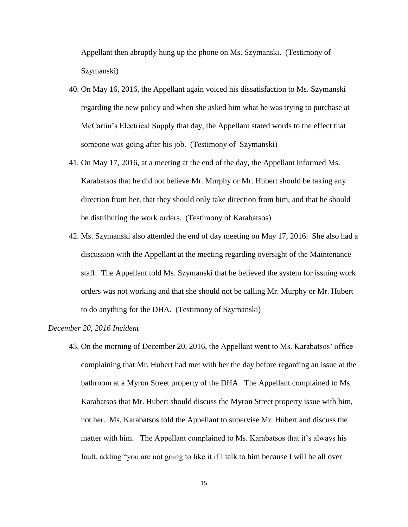Appellant then abruptly hung up the phone on Ms. Szymanski. (Testimony of Szymanski)

- 40. On May 16, 2016, the Appellant again voiced his dissatisfaction to Ms. Szymanski regarding the new policy and when she asked him what he was trying to purchase at McCartin's Electrical Supply that day, the Appellant stated words to the effect that someone was going after his job. (Testimony of Szymanski)
- 41. On May 17, 2016, at a meeting at the end of the day, the Appellant informed Ms. Karabatsos that he did not believe Mr. Murphy or Mr. Hubert should be taking any direction from her, that they should only take direction from him, and that he should be distributing the work orders. (Testimony of Karabatsos)
- 42. Ms. Szymanski also attended the end of day meeting on May 17, 2016. She also had a discussion with the Appellant at the meeting regarding oversight of the Maintenance staff. The Appellant told Ms. Szymanski that he believed the system for issuing work orders was not working and that she should not be calling Mr. Murphy or Mr. Hubert to do anything for the DHA. (Testimony of Szymanski)

#### *December 20, 2016 Incident*

43. On the morning of December 20, 2016, the Appellant went to Ms. Karabatsos' office complaining that Mr. Hubert had met with her the day before regarding an issue at the bathroom at a Myron Street property of the DHA. The Appellant complained to Ms. Karabatsos that Mr. Hubert should discuss the Myron Street property issue with him, not her. Ms. Karabatsos told the Appellant to supervise Mr. Hubert and discuss the matter with him. The Appellant complained to Ms. Karabatsos that it's always his fault, adding "you are not going to like it if I talk to him because I will be all over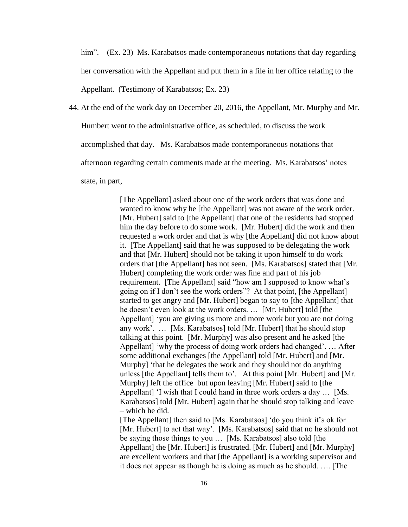him". (Ex. 23) Ms. Karabatsos made contemporaneous notations that day regarding her conversation with the Appellant and put them in a file in her office relating to the Appellant. (Testimony of Karabatsos; Ex. 23)

44. At the end of the work day on December 20, 2016, the Appellant, Mr. Murphy and Mr. Humbert went to the administrative office, as scheduled, to discuss the work accomplished that day. Ms. Karabatsos made contemporaneous notations that afternoon regarding certain comments made at the meeting. Ms. Karabatsos' notes state, in part,

> [The Appellant] asked about one of the work orders that was done and wanted to know why he [the Appellant] was not aware of the work order. [Mr. Hubert] said to [the Appellant] that one of the residents had stopped him the day before to do some work. [Mr. Hubert] did the work and then requested a work order and that is why [the Appellant] did not know about it. [The Appellant] said that he was supposed to be delegating the work and that [Mr. Hubert] should not be taking it upon himself to do work orders that [the Appellant] has not seen. [Ms. Karabatsos] stated that [Mr. Hubert] completing the work order was fine and part of his job requirement. [The Appellant] said "how am I supposed to know what's going on if I don't see the work orders"? At that point, [the Appellant] started to get angry and [Mr. Hubert] began to say to [the Appellant] that he doesn't even look at the work orders. … [Mr. Hubert] told [the Appellant] 'you are giving us more and more work but you are not doing any work'. … [Ms. Karabatsos] told [Mr. Hubert] that he should stop talking at this point. [Mr. Murphy] was also present and he asked [the Appellant] 'why the process of doing work orders had changed'. … After some additional exchanges [the Appellant] told [Mr. Hubert] and [Mr. Murphy] 'that he delegates the work and they should not do anything unless [the Appellant] tells them to'. At this point [Mr. Hubert] and [Mr. Murphy] left the office but upon leaving [Mr. Hubert] said to [the Appellant] 'I wish that I could hand in three work orders a day … [Ms. Karabatsos] told [Mr. Hubert] again that he should stop talking and leave – which he did.

> [The Appellant] then said to [Ms. Karabatsos] 'do you think it's ok for [Mr. Hubert] to act that way'. [Ms. Karabatsos] said that no he should not be saying those things to you … [Ms. Karabatsos] also told [the Appellant] the [Mr. Hubert] is frustrated. [Mr. Hubert] and [Mr. Murphy] are excellent workers and that [the Appellant] is a working supervisor and it does not appear as though he is doing as much as he should. …. [The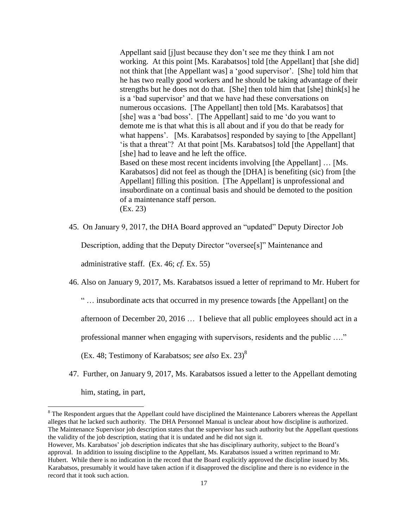Appellant said [j]ust because they don't see me they think I am not working. At this point [Ms. Karabatsos] told [the Appellant] that [she did] not think that [the Appellant was] a 'good supervisor'. [She] told him that he has two really good workers and he should be taking advantage of their strengths but he does not do that. [She] then told him that [she] think[s] he is a 'bad supervisor' and that we have had these conversations on numerous occasions. [The Appellant] then told [Ms. Karabatsos] that [she] was a 'bad boss'. [The Appellant] said to me 'do you want to demote me is that what this is all about and if you do that be ready for what happens'. [Ms. Karabatsos] responded by saying to [the Appellant] 'is that a threat'? At that point [Ms. Karabatsos] told [the Appellant] that [she] had to leave and he left the office. Based on these most recent incidents involving [the Appellant] … [Ms. Karabatsos] did not feel as though the [DHA] is benefiting (sic) from [the Appellant] filling this position. [The Appellant] is unprofessional and insubordinate on a continual basis and should be demoted to the position of a maintenance staff person.

(Ex. 23)

 $\overline{\phantom{a}}$ 

45. On January 9, 2017, the DHA Board approved an "updated" Deputy Director Job

Description, adding that the Deputy Director "oversee[s]" Maintenance and

administrative staff. (Ex. 46; *cf.* Ex. 55)

46. Also on January 9, 2017, Ms. Karabatsos issued a letter of reprimand to Mr. Hubert for

" … insubordinate acts that occurred in my presence towards [the Appellant] on the

afternoon of December 20, 2016 … I believe that all public employees should act in a

professional manner when engaging with supervisors, residents and the public …."

(Ex. 48; Testimony of Karabatsos; *see also* Ex. 23)<sup>8</sup>

47. Further, on January 9, 2017, Ms. Karabatsos issued a letter to the Appellant demoting him, stating, in part,

 $8$  The Respondent argues that the Appellant could have disciplined the Maintenance Laborers whereas the Appellant alleges that he lacked such authority. The DHA Personnel Manual is unclear about how discipline is authorized. The Maintenance Supervisor job description states that the supervisor has such authority but the Appellant questions the validity of the job description, stating that it is undated and he did not sign it.

However, Ms. Karabatsos' job description indicates that she has disciplinary authority, subject to the Board's approval. In addition to issuing discipline to the Appellant, Ms. Karabatsos issued a written reprimand to Mr. Hubert. While there is no indication in the record that the Board explicitly approved the discipline issued by Ms. Karabatsos, presumably it would have taken action if it disapproved the discipline and there is no evidence in the record that it took such action.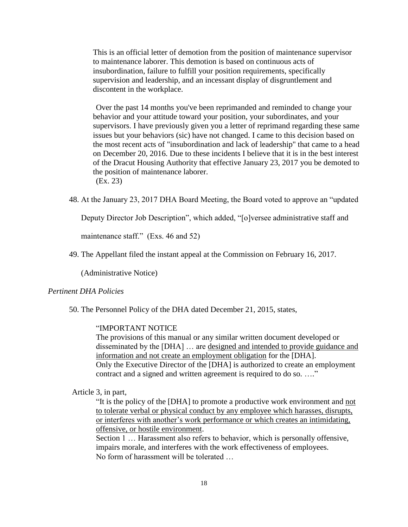This is an official letter of demotion from the position of maintenance supervisor to maintenance laborer. This demotion is based on continuous acts of insubordination, failure to fulfill your position requirements, specifically supervision and leadership, and an incessant display of disgruntlement and discontent in the workplace.

Over the past 14 months you've been reprimanded and reminded to change your behavior and your attitude toward your position, your subordinates, and your supervisors. I have previously given you a letter of reprimand regarding these same issues but your behaviors (sic) have not changed. I came to this decision based on the most recent acts of "insubordination and lack of leadership" that came to a head on December 20, 2016. Due to these incidents I believe that it is in the best interest of the Dracut Housing Authority that effective January 23, 2017 you be demoted to the position of maintenance laborer. (Ex. 23)

48. At the January 23, 2017 DHA Board Meeting, the Board voted to approve an "updated

Deputy Director Job Description", which added, "[o]versee administrative staff and

maintenance staff." (Exs. 46 and 52)

49. The Appellant filed the instant appeal at the Commission on February 16, 2017.

(Administrative Notice)

# *Pertinent DHA Policies*

50. The Personnel Policy of the DHA dated December 21, 2015, states,

# "IMPORTANT NOTICE

The provisions of this manual or any similar written document developed or disseminated by the [DHA] … are designed and intended to provide guidance and information and not create an employment obligation for the [DHA]. Only the Executive Director of the [DHA] is authorized to create an employment contract and a signed and written agreement is required to do so. ...."

#### Article 3, in part,

"It is the policy of the [DHA] to promote a productive work environment and not to tolerate verbal or physical conduct by any employee which harasses, disrupts, or interferes with another's work performance or which creates an intimidating, offensive, or hostile environment.

Section 1 ... Harassment also refers to behavior, which is personally offensive, impairs morale, and interferes with the work effectiveness of employees. No form of harassment will be tolerated …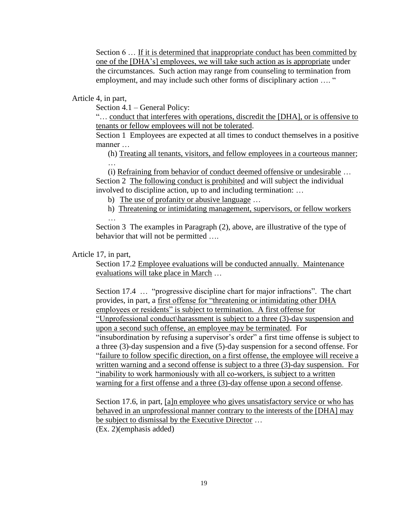Section 6 ... If it is determined that inappropriate conduct has been committed by one of the [DHA's] employees, we will take such action as is appropriate under the circumstances. Such action may range from counseling to termination from employment, and may include such other forms of disciplinary action …. "

Article 4, in part,

…

Section 4.1 – General Policy:

"… conduct that interferes with operations, discredit the [DHA], or is offensive to tenants or fellow employees will not be tolerated.

Section 1 Employees are expected at all times to conduct themselves in a positive manner

(h) Treating all tenants, visitors, and fellow employees in a courteous manner;

(i) Refraining from behavior of conduct deemed offensive or undesirable … Section 2 The following conduct is prohibited and will subject the individual involved to discipline action, up to and including termination: …

b) The use of profanity or abusive language …

h) Threatening or intimidating management, supervisors, or fellow workers

Section 3 The examples in Paragraph (2), above, are illustrative of the type of behavior that will not be permitted ....

#### Article 17, in part,

Section 17.2 Employee evaluations will be conducted annually. Maintenance evaluations will take place in March …

Section 17.4 … "progressive discipline chart for major infractions". The chart provides, in part, a first offense for "threatening or intimidating other DHA employees or residents" is subject to termination. A first offense for "Unprofessional conduct\harassment is subject to a three (3)-day suspension and upon a second such offense, an employee may be terminated. For "insubordination by refusing a supervisor's order" a first time offense is subject to a three (3)-day suspension and a five (5)-day suspension for a second offense. For "failure to follow specific direction, on a first offense, the employee will receive a written warning and a second offense is subject to a three (3)-day suspension. For "inability to work harmoniously with all co-workers, is subject to a written warning for a first offense and a three (3)-day offense upon a second offense.

Section 17.6, in part, [a]n employee who gives unsatisfactory service or who has behaved in an unprofessional manner contrary to the interests of the [DHA] may be subject to dismissal by the Executive Director … (Ex. 2)(emphasis added)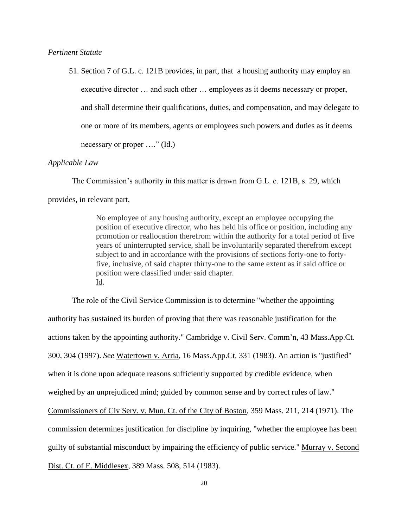*Pertinent Statute*

51. Section 7 of G.L. c. 121B provides, in part, that a housing authority may employ an executive director … and such other … employees as it deems necessary or proper, and shall determine their qualifications, duties, and compensation, and may delegate to one or more of its members, agents or employees such powers and duties as it deems necessary or proper …." (Id.)

## *Applicable Law*

The Commission's authority in this matter is drawn from G.L. c. 121B, s. 29, which provides, in relevant part,

> No employee of any housing authority, except an employee occupying the position of executive director, who has held his office or position, including any promotion or reallocation therefrom within the authority for a total period of five years of uninterrupted service, shall be involuntarily separated therefrom except subject to and in accordance with the provisions of sections forty-one to fortyfive, inclusive, of said chapter thirty-one to the same extent as if said office or position were classified under said chapter. Id.

The role of the Civil Service Commission is to determine "whether the appointing authority has sustained its burden of proving that there was reasonable justification for the actions taken by the appointing authority." Cambridge v. Civil Serv. Comm'n, 43 Mass.App.Ct. 300, 304 (1997). *See* Watertown v. Arria, 16 Mass.App.Ct. 331 (1983). An action is "justified" when it is done upon adequate reasons sufficiently supported by credible evidence, when weighed by an unprejudiced mind; guided by common sense and by correct rules of law." Commissioners of Civ Serv. v. Mun. Ct. of the City of Boston, 359 Mass. 211, 214 (1971). The commission determines justification for discipline by inquiring, "whether the employee has been guilty of substantial misconduct by impairing the efficiency of public service." Murray v. Second Dist. Ct. of E. Middlesex, 389 Mass. 508, 514 (1983).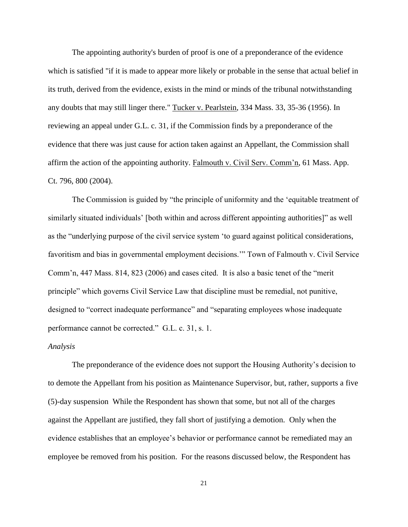The appointing authority's burden of proof is one of a preponderance of the evidence which is satisfied "if it is made to appear more likely or probable in the sense that actual belief in its truth, derived from the evidence, exists in the mind or minds of the tribunal notwithstanding any doubts that may still linger there." Tucker v. Pearlstein, 334 Mass. 33, 35-36 (1956). In reviewing an appeal under G.L. c. 31, if the Commission finds by a preponderance of the evidence that there was just cause for action taken against an Appellant, the Commission shall affirm the action of the appointing authority. Falmouth v. Civil Serv. Comm'n, 61 Mass. App. Ct. 796, 800 (2004).

The Commission is guided by "the principle of uniformity and the 'equitable treatment of similarly situated individuals' [both within and across different appointing authorities]" as well as the "underlying purpose of the civil service system 'to guard against political considerations, favoritism and bias in governmental employment decisions.'" Town of Falmouth v. Civil Service Comm'n, 447 Mass. 814, 823 (2006) and cases cited. It is also a basic tenet of the "merit principle" which governs Civil Service Law that discipline must be remedial, not punitive, designed to "correct inadequate performance" and "separating employees whose inadequate performance cannot be corrected." G.L. c. 31, s. 1.

#### *Analysis*

The preponderance of the evidence does not support the Housing Authority's decision to to demote the Appellant from his position as Maintenance Supervisor, but, rather, supports a five (5)-day suspension While the Respondent has shown that some, but not all of the charges against the Appellant are justified, they fall short of justifying a demotion. Only when the evidence establishes that an employee's behavior or performance cannot be remediated may an employee be removed from his position. For the reasons discussed below, the Respondent has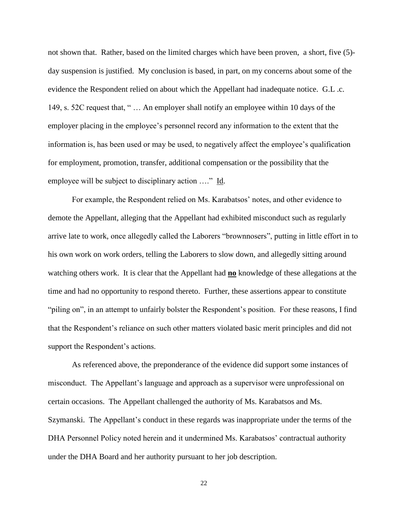not shown that. Rather, based on the limited charges which have been proven, a short, five (5) day suspension is justified. My conclusion is based, in part, on my concerns about some of the evidence the Respondent relied on about which the Appellant had inadequate notice. G.L .c. 149, s. 52C request that, " … An employer shall notify an employee within 10 days of the employer placing in the employee's personnel record any information to the extent that the information is, has been used or may be used, to negatively affect the employee's qualification for employment, promotion, transfer, additional compensation or the possibility that the employee will be subject to disciplinary action …." Id.

For example, the Respondent relied on Ms. Karabatsos' notes, and other evidence to demote the Appellant, alleging that the Appellant had exhibited misconduct such as regularly arrive late to work, once allegedly called the Laborers "brownnosers", putting in little effort in to his own work on work orders, telling the Laborers to slow down, and allegedly sitting around watching others work. It is clear that the Appellant had **no** knowledge of these allegations at the time and had no opportunity to respond thereto. Further, these assertions appear to constitute "piling on", in an attempt to unfairly bolster the Respondent's position. For these reasons, I find that the Respondent's reliance on such other matters violated basic merit principles and did not support the Respondent's actions.

As referenced above, the preponderance of the evidence did support some instances of misconduct. The Appellant's language and approach as a supervisor were unprofessional on certain occasions. The Appellant challenged the authority of Ms. Karabatsos and Ms. Szymanski. The Appellant's conduct in these regards was inappropriate under the terms of the DHA Personnel Policy noted herein and it undermined Ms. Karabatsos' contractual authority under the DHA Board and her authority pursuant to her job description.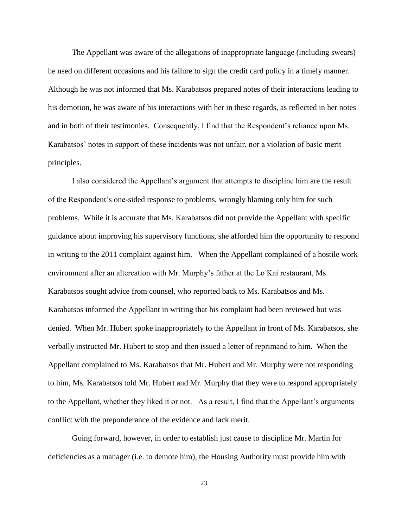The Appellant was aware of the allegations of inappropriate language (including swears) he used on different occasions and his failure to sign the credit card policy in a timely manner. Although he was not informed that Ms. Karabatsos prepared notes of their interactions leading to his demotion, he was aware of his interactions with her in these regards, as reflected in her notes and in both of their testimonies. Consequently, I find that the Respondent's reliance upon Ms. Karabatsos' notes in support of these incidents was not unfair, nor a violation of basic merit principles.

I also considered the Appellant's argument that attempts to discipline him are the result of the Respondent's one-sided response to problems, wrongly blaming only him for such problems. While it is accurate that Ms. Karabatsos did not provide the Appellant with specific guidance about improving his supervisory functions, she afforded him the opportunity to respond in writing to the 2011 complaint against him. When the Appellant complained of a hostile work environment after an altercation with Mr. Murphy's father at the Lo Kai restaurant, Ms. Karabatsos sought advice from counsel, who reported back to Ms. Karabatsos and Ms. Karabatsos informed the Appellant in writing that his complaint had been reviewed but was denied. When Mr. Hubert spoke inappropriately to the Appellant in front of Ms. Karabatsos, she verbally instructed Mr. Hubert to stop and then issued a letter of reprimand to him. When the Appellant complained to Ms. Karabatsos that Mr. Hubert and Mr. Murphy were not responding to him, Ms. Karabatsos told Mr. Hubert and Mr. Murphy that they were to respond appropriately to the Appellant, whether they liked it or not. As a result, I find that the Appellant's arguments conflict with the preponderance of the evidence and lack merit.

Going forward, however, in order to establish just cause to discipline Mr. Martin for deficiencies as a manager (i.e. to demote him), the Housing Authority must provide him with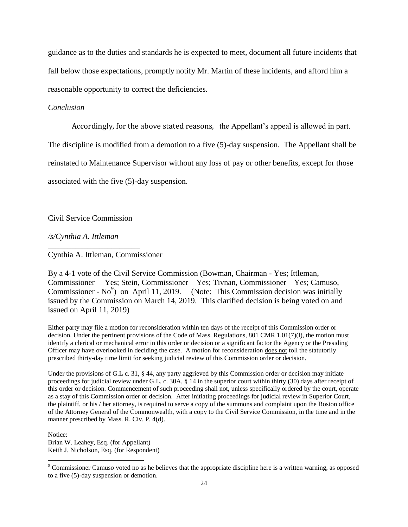guidance as to the duties and standards he is expected to meet, document all future incidents that fall below those expectations, promptly notify Mr. Martin of these incidents, and afford him a reasonable opportunity to correct the deficiencies.

#### *Conclusion*

Accordingly, for the above stated reasons, the Appellant's appeal is allowed in part.

The discipline is modified from a demotion to a five (5)-day suspension. The Appellant shall be

reinstated to Maintenance Supervisor without any loss of pay or other benefits, except for those

associated with the five (5)-day suspension.

Civil Service Commission

\_\_\_\_\_\_\_\_\_\_\_\_\_\_\_\_\_\_\_\_\_\_\_

*/s/Cynthia A. Ittleman*

Cynthia A. Ittleman, Commissioner

By a 4-1 vote of the Civil Service Commission (Bowman, Chairman - Yes; Ittleman, Commissioner – Yes; Stein, Commissioner – Yes; Tivnan, Commissioner – Yes; Camuso, Commissioner - No<sup>9</sup>) on April 11, 2019. (Note: This Commission decision was initially issued by the Commission on March 14, 2019. This clarified decision is being voted on and issued on April 11, 2019)

Either party may file a motion for reconsideration within ten days of the receipt of this Commission order or decision. Under the pertinent provisions of the Code of Mass. Regulations, 801 CMR 1.01(7)(l), the motion must identify a clerical or mechanical error in this order or decision or a significant factor the Agency or the Presiding Officer may have overlooked in deciding the case. A motion for reconsideration does not toll the statutorily prescribed thirty-day time limit for seeking judicial review of this Commission order or decision.

Under the provisions of G.L c. 31, § 44, any party aggrieved by this Commission order or decision may initiate proceedings for judicial review under G.L. c. 30A, § 14 in the superior court within thirty (30) days after receipt of this order or decision. Commencement of such proceeding shall not, unless specifically ordered by the court, operate as a stay of this Commission order or decision. After initiating proceedings for judicial review in Superior Court, the plaintiff, or his / her attorney, is required to serve a copy of the summons and complaint upon the Boston office of the Attorney General of the Commonwealth, with a copy to the Civil Service Commission, in the time and in the manner prescribed by Mass. R. Civ. P. 4(d).

Notice:

l

Brian W. Leahey, Esq. (for Appellant) Keith J. Nicholson, Esq. (for Respondent)

 $9^9$  Commissioner Camuso voted no as he believes that the appropriate discipline here is a written warning, as opposed to a five (5)-day suspension or demotion.